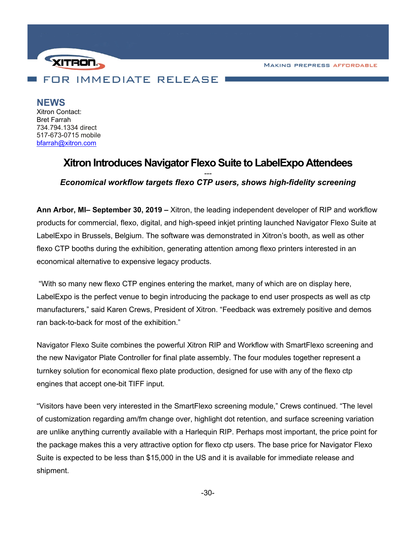**MAKING PREPRESS AFFORDABLE** 



**NEWS** Xitron Contact: Bret Farrah 734.794.1334 direct 517-673-0715 mobile [bfarrah@xitron.com](mailto:bfarrah@xitron.com)

## **Xitron Introduces Navigator Flexo Suite to LabelExpo Attendees** *--- Economical workflow targets flexo CTP users, shows high-fidelity screening*

**Ann Arbor, MI– September 30, 2019 –** Xitron, the leading independent developer of RIP and workflow products for commercial, flexo, digital, and high-speed inkjet printing launched Navigator Flexo Suite at LabelExpo in Brussels, Belgium. The software was demonstrated in Xitron's booth, as well as other flexo CTP booths during the exhibition, generating attention among flexo printers interested in an economical alternative to expensive legacy products.

"With so many new flexo CTP engines entering the market, many of which are on display here, LabelExpo is the perfect venue to begin introducing the package to end user prospects as well as ctp manufacturers," said Karen Crews, President of Xitron. "Feedback was extremely positive and demos ran back-to-back for most of the exhibition."

Navigator Flexo Suite combines the powerful Xitron RIP and Workflow with SmartFlexo screening and the new Navigator Plate Controller for final plate assembly. The four modules together represent a turnkey solution for economical flexo plate production, designed for use with any of the flexo ctp engines that accept one-bit TIFF input.

"Visitors have been very interested in the SmartFlexo screening module," Crews continued. "The level of customization regarding am/fm change over, highlight dot retention, and surface screening variation are unlike anything currently available with a Harlequin RIP. Perhaps most important, the price point for the package makes this a very attractive option for flexo ctp users. The base price for Navigator Flexo Suite is expected to be less than \$15,000 in the US and it is available for immediate release and shipment.